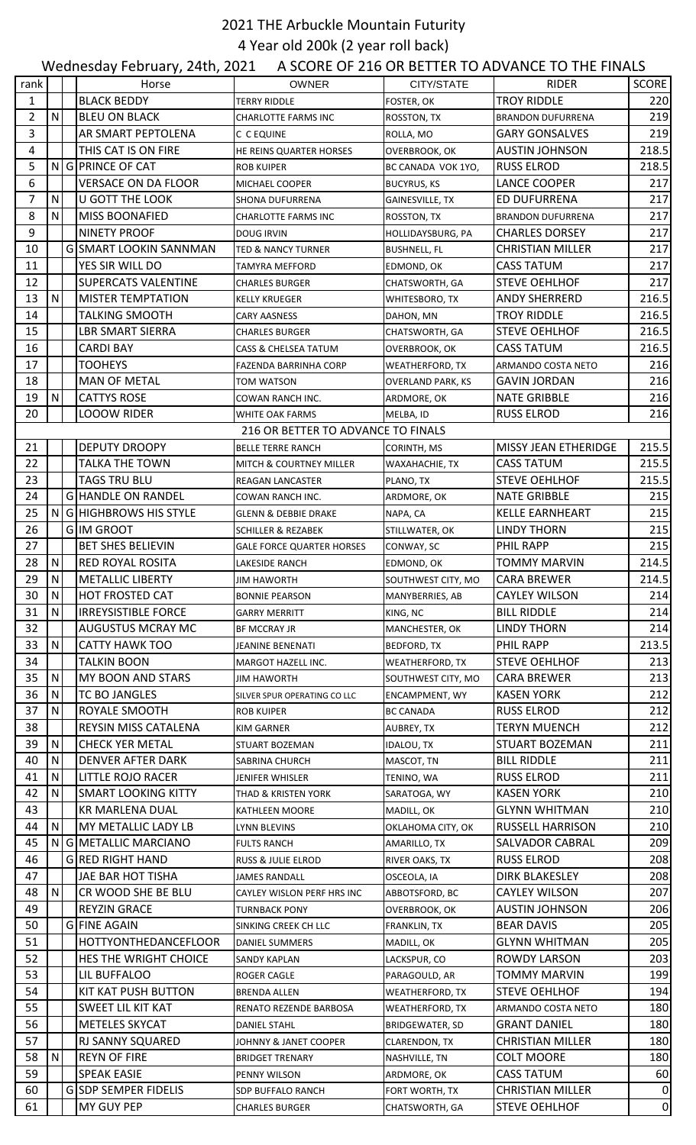## 2021 THE Arbuckle Mountain Futurity 4 Year old 200k (2 year roll back)

|                |              | Wednesday February, 24th, 2021 |                                    |                          | A SCORE OF 216 OR BETTER TO ADVANCE TO THE FINALS |                 |
|----------------|--------------|--------------------------------|------------------------------------|--------------------------|---------------------------------------------------|-----------------|
| rank           |              | Horse                          | <b>OWNER</b>                       | CITY/STATE               | <b>RIDER</b>                                      | SCORE           |
| $\mathbf{1}$   |              | <b>BLACK BEDDY</b>             | TERRY RIDDLE                       | FOSTER, OK               | <b>TROY RIDDLE</b>                                | 220             |
| $\overline{2}$ | ${\sf N}$    | <b>BLEU ON BLACK</b>           | <b>CHARLOTTE FARMS INC</b>         | ROSSTON, TX              | <b>BRANDON DUFURRENA</b>                          | 219             |
| 3              |              | AR SMART PEPTOLENA             | C C EQUINE                         | ROLLA, MO                | <b>GARY GONSALVES</b>                             | 219             |
| 4              |              | THIS CAT IS ON FIRE            | HE REINS QUARTER HORSES            | OVERBROOK, OK            | <b>AUSTIN JOHNSON</b>                             | 218.5           |
| 5              |              | NG PRINCE OF CAT               | <b>ROB KUIPER</b>                  | BC CANADA VOK 1YO,       | <b>RUSS ELROD</b>                                 | 218.5           |
| 6              |              | <b>VERSACE ON DA FLOOR</b>     | MICHAEL COOPER                     | <b>BUCYRUS, KS</b>       | LANCE COOPER                                      | 217             |
| $\overline{7}$ | N            | <b>U GOTT THE LOOK</b>         | <b>SHONA DUFURRENA</b>             | GAINESVILLE, TX          | ED DUFURRENA                                      | 217             |
| 8              | N            | <b>MISS BOONAFIED</b>          | <b>CHARLOTTE FARMS INC</b>         | ROSSTON, TX              | <b>BRANDON DUFURRENA</b>                          | 217             |
| 9              |              | <b>NINETY PROOF</b>            | DOUG IRVIN                         | <b>HOLLIDAYSBURG, PA</b> | <b>CHARLES DORSEY</b>                             | 217             |
| 10             |              | <b>G SMART LOOKIN SANNMAN</b>  | <b>TED &amp; NANCY TURNER</b>      | <b>BUSHNELL, FL</b>      | <b>CHRISTIAN MILLER</b>                           | 217             |
| 11             |              | YES SIR WILL DO                | TAMYRA MEFFORD                     | EDMOND, OK               | <b>CASS TATUM</b>                                 | 217             |
| 12             |              | <b>SUPERCATS VALENTINE</b>     | <b>CHARLES BURGER</b>              | CHATSWORTH, GA           | <b>STEVE OEHLHOF</b>                              | 217             |
| 13             | $\mathsf{N}$ | <b>MISTER TEMPTATION</b>       | KELLY KRUEGER                      | WHITESBORO, TX           | <b>ANDY SHERRERD</b>                              | 216.5           |
| 14             |              | <b>TALKING SMOOTH</b>          | <b>CARY AASNESS</b>                | DAHON, MN                | <b>TROY RIDDLE</b>                                | 216.5           |
| 15             |              | <b>LBR SMART SIERRA</b>        | <b>CHARLES BURGER</b>              | CHATSWORTH, GA           | <b>STEVE OEHLHOF</b>                              | 216.5           |
| 16             |              | <b>CARDI BAY</b>               | CASS & CHELSEA TATUM               | OVERBROOK, OK            | <b>CASS TATUM</b>                                 | 216.5           |
| 17             |              | <b>TOOHEYS</b>                 | FAZENDA BARRINHA CORP              | <b>WEATHERFORD, TX</b>   | ARMANDO COSTA NETO                                | 216             |
| 18             |              | <b>MAN OF METAL</b>            | TOM WATSON                         | <b>OVERLAND PARK, KS</b> | <b>GAVIN JORDAN</b>                               | 216             |
| 19             | N            | <b>CATTYS ROSE</b>             | COWAN RANCH INC.                   | ARDMORE, OK              | <b>NATE GRIBBLE</b>                               | 216             |
| 20             |              | <b>LOOOW RIDER</b>             | WHITE OAK FARMS                    | MELBA, ID                | <b>RUSS ELROD</b>                                 | 216             |
|                |              |                                | 216 OR BETTER TO ADVANCE TO FINALS |                          |                                                   |                 |
| 21             |              | <b>DEPUTY DROOPY</b>           | <b>BELLE TERRE RANCH</b>           | CORINTH, MS              | MISSY JEAN ETHERIDGE                              | 215.5           |
| 22             |              | TALKA THE TOWN                 | MITCH & COURTNEY MILLER            | WAXAHACHIE, TX           | <b>CASS TATUM</b>                                 | 215.5           |
| 23             |              | <b>TAGS TRU BLU</b>            | REAGAN LANCASTER                   | PLANO, TX                | <b>STEVE OEHLHOF</b>                              | 215.5           |
| 24             |              | <b>G HANDLE ON RANDEL</b>      | COWAN RANCH INC.                   | ARDMORE, OK              | <b>NATE GRIBBLE</b>                               | 215             |
| 25             |              | N G HIGHBROWS HIS STYLE        | <b>GLENN &amp; DEBBIE DRAKE</b>    | NAPA, CA                 | <b>KELLE EARNHEART</b>                            | 215             |
| 26             |              | <b>GIM GROOT</b>               | SCHILLER & REZABEK                 | STILLWATER, OK           | <b>LINDY THORN</b>                                | 215             |
| 27             |              | <b>BET SHES BELIEVIN</b>       | <b>GALE FORCE QUARTER HORSES</b>   | CONWAY, SC               | PHIL RAPP                                         | 215             |
| 28             | N            | <b>RED ROYAL ROSITA</b>        | LAKESIDE RANCH                     | EDMOND, OK               | <b>TOMMY MARVIN</b>                               | 214.5           |
| 29             | N            | <b>METALLIC LIBERTY</b>        | JIM HAWORTH                        | SOUTHWEST CITY, MO       | <b>CARA BREWER</b>                                | 214.5           |
| 30             | ${\sf N}$    | <b>HOT FROSTED CAT</b>         | <b>BONNIE PEARSON</b>              | MANYBERRIES, AB          | <b>CAYLEY WILSON</b>                              | 214             |
| 31             | N            | <b>IRREYSISTIBLE FORCE</b>     | <b>GARRY MERRITT</b>               | KING, NC                 | <b>BILL RIDDLE</b>                                | 214             |
| 32             |              | AUGUSTUS MCRAY MC              | BF MCCRAY JR                       | MANCHESTER, OK           | <b>LINDY THORN</b>                                | 214             |
| 33             | N            | <b>CATTY HAWK TOO</b>          | JEANINE BENENATI                   | <b>BEDFORD, TX</b>       | PHIL RAPP                                         | 213.5           |
| 34             |              | TALKIN BOON                    | MARGOT HAZELL INC.                 | <b>WEATHERFORD, TX</b>   | <b>STEVE OEHLHOF</b>                              | 213             |
| 35             | N            | MY BOON AND STARS              | JIM HAWORTH                        | SOUTHWEST CITY, MO       | <b>CARA BREWER</b>                                | 213             |
| 36             | N            | TC BO JANGLES                  | SILVER SPUR OPERATING CO LLC       | <b>ENCAMPMENT, WY</b>    | <b>KASEN YORK</b>                                 | 212             |
| 37             | N            | ROYALE SMOOTH                  | <b>ROB KUIPER</b>                  | <b>BC CANADA</b>         | <b>RUSS ELROD</b>                                 | 212             |
| 38             |              | REYSIN MISS CATALENA           | KIM GARNER                         | AUBREY, TX               | <b>TERYN MUENCH</b>                               | 212             |
| 39             | N            | <b>CHECK YER METAL</b>         | STUART BOZEMAN                     | IDALOU, TX               | STUART BOZEMAN                                    | 211             |
| 40             | N            | <b>DENVER AFTER DARK</b>       | SABRINA CHURCH                     | MASCOT, TN               | <b>BILL RIDDLE</b>                                | 211             |
| 41             | N            | LITTLE ROJO RACER              | JENIFER WHISLER                    | TENINO, WA               | <b>RUSS ELROD</b>                                 | 211             |
| 42             | N            | <b>SMART LOOKING KITTY</b>     | THAD & KRISTEN YORK                | SARATOGA, WY             | <b>KASEN YORK</b>                                 | 210             |
| 43             |              | KR MARLENA DUAL                | KATHLEEN MOORE                     | MADILL, OK               | <b>GLYNN WHITMAN</b>                              | 210             |
| 44             | N            | MY METALLIC LADY LB            | <b>LYNN BLEVINS</b>                | OKLAHOMA CITY, OK        | <b>RUSSELL HARRISON</b>                           | 210             |
| 45             | N            | G METALLIC MARCIANO            | <b>FULTS RANCH</b>                 | AMARILLO, TX             | SALVADOR CABRAL                                   | 209             |
| 46             |              | <b>G RED RIGHT HAND</b>        | RUSS & JULIE ELROD                 | RIVER OAKS, TX           | <b>RUSS ELROD</b>                                 | 208             |
| 47             |              | JAE BAR HOT TISHA              | JAMES RANDALL                      | OSCEOLA, IA              | <b>DIRK BLAKESLEY</b>                             | 208             |
| 48             | N            | CR WOOD SHE BE BLU             | CAYLEY WISLON PERF HRS INC         | ABBOTSFORD, BC           | <b>CAYLEY WILSON</b>                              | 207             |
| 49             |              | <b>REYZIN GRACE</b>            | <b>TURNBACK PONY</b>               | OVERBROOK, OK            | <b>AUSTIN JOHNSON</b>                             | 206             |
| 50             |              | G FINE AGAIN                   | SINKING CREEK CH LLC               | FRANKLIN, TX             | <b>BEAR DAVIS</b>                                 | 205             |
| 51             |              | <b>HOTTYONTHEDANCEFLOOR</b>    | <b>DANIEL SUMMERS</b>              | MADILL, OK               | <b>GLYNN WHITMAN</b>                              | 205             |
| 52             |              | <b>HES THE WRIGHT CHOICE</b>   | SANDY KAPLAN                       | LACKSPUR, CO             | <b>ROWDY LARSON</b>                               | 203             |
| 53             |              | LIL BUFFALOO                   | ROGER CAGLE                        | PARAGOULD, AR            | TOMMY MARVIN                                      | 199             |
| 54             |              | <b>KIT KAT PUSH BUTTON</b>     | <b>BRENDA ALLEN</b>                | <b>WEATHERFORD, TX</b>   | <b>STEVE OEHLHOF</b>                              | 194             |
| 55             |              | <b>SWEET LIL KIT KAT</b>       | RENATO REZENDE BARBOSA             | <b>WEATHERFORD, TX</b>   | ARMANDO COSTA NETO                                | 180             |
| 56             |              | <b>METELES SKYCAT</b>          | <b>DANIEL STAHL</b>                | <b>BRIDGEWATER, SD</b>   | <b>GRANT DANIEL</b>                               | 180             |
| 57             |              | RJ SANNY SQUARED               | JOHNNY & JANET COOPER              | CLARENDON, TX            | <b>CHRISTIAN MILLER</b>                           | 180             |
| 58             | N            | <b>REYN OF FIRE</b>            | <b>BRIDGET TRENARY</b>             | NASHVILLE, TN            | <b>COLT MOORE</b>                                 | 180             |
| 59             |              | <b>SPEAK EASIE</b>             | PENNY WILSON                       | ARDMORE, OK              | <b>CASS TATUM</b>                                 | 60              |
| 60             |              | <b>G SDP SEMPER FIDELIS</b>    | SDP BUFFALO RANCH                  | FORT WORTH, TX           | <b>CHRISTIAN MILLER</b>                           | $\mathbf{0}$    |
| 61             |              | MY GUY PEP                     | <b>CHARLES BURGER</b>              | CHATSWORTH, GA           | <b>STEVE OEHLHOF</b>                              | $\vert 0 \vert$ |
|                |              |                                |                                    |                          |                                                   |                 |